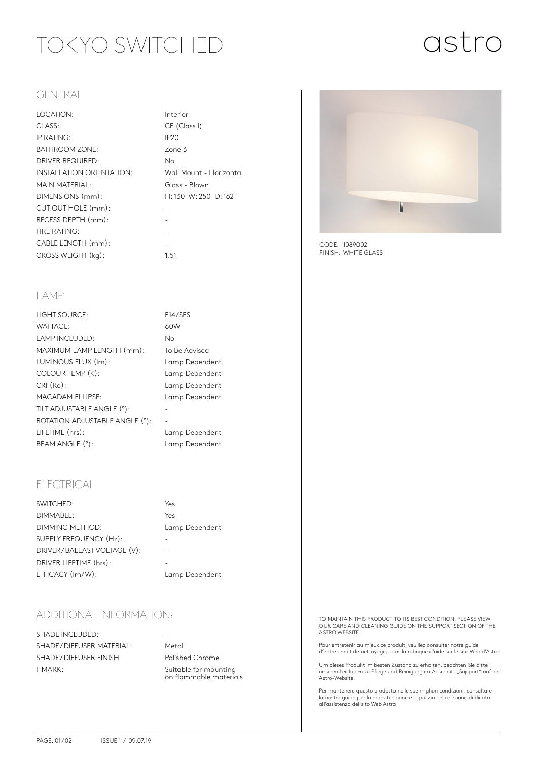# TOKYO SWITCHED

# astro

### GENERAL

| LOCATION:                 | Intei            |
|---------------------------|------------------|
| CLASS:                    | CE (             |
| IP RATING:                | IP <sub>20</sub> |
| <b>BATHROOM ZONE:</b>     | Zone             |
| <b>DRIVER REQUIRED:</b>   | No               |
| INSTALLATION ORIENTATION: | Wall             |
| MAIN MATERIAL:            | Glas             |
| DIMENSIONS (mm):          | H:13             |
| CUT OUT HOLE (mm):        |                  |
| RECESS DEPTH (mm):        |                  |
| FIRE RATING:              |                  |
| CABLE LENGTH (mm):        |                  |
| GROSS WEIGHT (kg):        | 1.51             |

Interior CE (Class I) Zone 3 Wall Mount - Horizontal Glass - Blown H: 130 W: 250 D: 162

E14/SES

To Be Advised Lamp Dependent Lamp Dependent Lamp Dependent Lamp Dependent

Lamp Dependent Lamp Dependent

#### LAMP

| <b>LIGHT SOURCE:</b>           | E14/3 |
|--------------------------------|-------|
| <b>WATTAGE:</b>                | 60W   |
| <b>LAMP INCLUDED:</b>          | No.   |
| MAXIMUM LAMP LENGTH (mm):      | To Be |
| LUMINOUS FLUX (Im):            | Lam   |
| COLOUR TEMP (K):               | Lamı  |
| $CRI(Ra)$ :                    | Lam   |
| <b>MACADAM ELLIPSE:</b>        | Lam   |
| TILT ADJUSTABLE ANGLE (°):     |       |
| ROTATION ADJUSTABLE ANGLE (°): |       |
| LIFETIME (hrs):                | Lam   |
| BEAM ANGLE (°):                | Lam   |

## ELECTRICAL

| SWITCHED:                   | Yes            |
|-----------------------------|----------------|
| DIMMABLE:                   | Yes            |
| DIMMING METHOD:             | Lamp Dependent |
| SUPPLY FREQUENCY (Hz):      |                |
| DRIVER/BALLAST VOLTAGE (V): |                |
| DRIVER LIFETIME (hrs):      |                |
| EFFICACY (Im/W):            | Lamp Dependent |
|                             |                |

## ADDITIONAL INFORMATION:

SHADE INCLUDED: SHADE / DIFFUSER MATERIAL: Metal SHADE / DIFFUSER FINISH Polished Chrome F MARK: Suitable for mounting

on flammable materials



CODE: 1089002 FINISH: WHITE GLASS

TO MAINTAIN THIS PRODUCT TO ITS BEST CONDITION, PLEASE VIEW OUR CARE AND CLEANING GUIDE ON THE SUPPORT SECTION OF THE ASTRO WEBSITE.

Pour entretenir au mieux ce produit, veuillez consulter notre guide d'entretien et de nettoyage, dans la rubrique d'aide sur le site Web d'Astro.

Um dieses Produkt im besten Zustand zu erhalten, beachten Sie bitte unseren Leitfaden zu Pflege und Reinigung im Abschnitt "Support" auf der<br>Astro-Website.

Per mantenere questo prodotto nelle sue migliori condizioni, consultare la nostra guida per la manutenzione e la pulizia nella sezione dedicata all'assistenza del sito Web Astro.